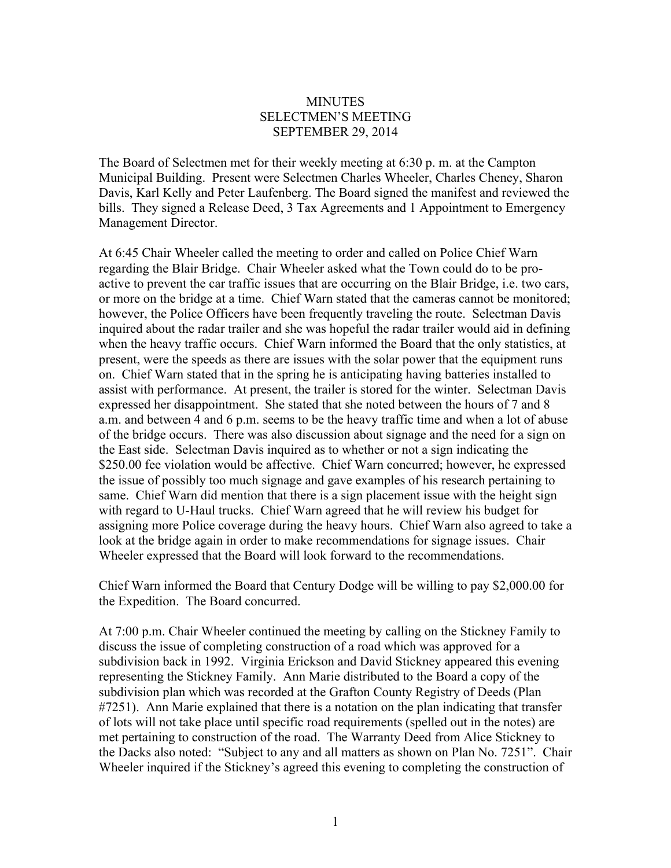## **MINUTES** SELECTMEN'S MEETING SEPTEMBER 29, 2014

The Board of Selectmen met for their weekly meeting at 6:30 p. m. at the Campton Municipal Building. Present were Selectmen Charles Wheeler, Charles Cheney, Sharon Davis, Karl Kelly and Peter Laufenberg. The Board signed the manifest and reviewed the bills. They signed a Release Deed, 3 Tax Agreements and 1 Appointment to Emergency Management Director.

At 6:45 Chair Wheeler called the meeting to order and called on Police Chief Warn regarding the Blair Bridge. Chair Wheeler asked what the Town could do to be proactive to prevent the car traffic issues that are occurring on the Blair Bridge, i.e. two cars, or more on the bridge at a time. Chief Warn stated that the cameras cannot be monitored; however, the Police Officers have been frequently traveling the route. Selectman Davis inquired about the radar trailer and she was hopeful the radar trailer would aid in defining when the heavy traffic occurs. Chief Warn informed the Board that the only statistics, at present, were the speeds as there are issues with the solar power that the equipment runs on. Chief Warn stated that in the spring he is anticipating having batteries installed to assist with performance. At present, the trailer is stored for the winter. Selectman Davis expressed her disappointment. She stated that she noted between the hours of 7 and 8 a.m. and between 4 and 6 p.m. seems to be the heavy traffic time and when a lot of abuse of the bridge occurs. There was also discussion about signage and the need for a sign on the East side. Selectman Davis inquired as to whether or not a sign indicating the \$250.00 fee violation would be affective. Chief Warn concurred; however, he expressed the issue of possibly too much signage and gave examples of his research pertaining to same. Chief Warn did mention that there is a sign placement issue with the height sign with regard to U-Haul trucks. Chief Warn agreed that he will review his budget for assigning more Police coverage during the heavy hours. Chief Warn also agreed to take a look at the bridge again in order to make recommendations for signage issues. Chair Wheeler expressed that the Board will look forward to the recommendations.

Chief Warn informed the Board that Century Dodge will be willing to pay \$2,000.00 for the Expedition. The Board concurred.

At 7:00 p.m. Chair Wheeler continued the meeting by calling on the Stickney Family to discuss the issue of completing construction of a road which was approved for a subdivision back in 1992. Virginia Erickson and David Stickney appeared this evening representing the Stickney Family. Ann Marie distributed to the Board a copy of the subdivision plan which was recorded at the Grafton County Registry of Deeds (Plan #7251). Ann Marie explained that there is a notation on the plan indicating that transfer of lots will not take place until specific road requirements (spelled out in the notes) are met pertaining to construction of the road. The Warranty Deed from Alice Stickney to the Dacks also noted: "Subject to any and all matters as shown on Plan No. 7251". Chair Wheeler inquired if the Stickney's agreed this evening to completing the construction of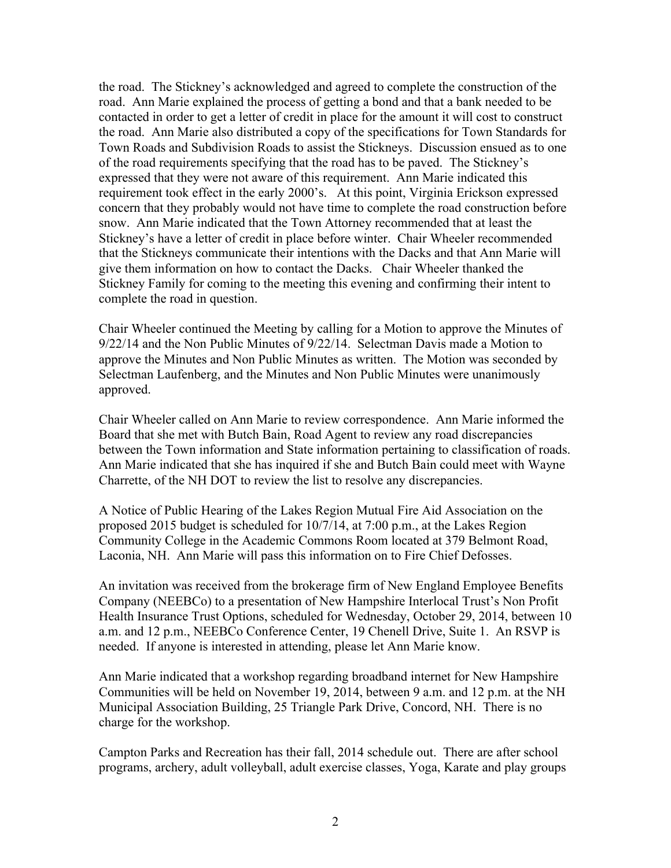the road. The Stickney's acknowledged and agreed to complete the construction of the road. Ann Marie explained the process of getting a bond and that a bank needed to be contacted in order to get a letter of credit in place for the amount it will cost to construct the road. Ann Marie also distributed a copy of the specifications for Town Standards for Town Roads and Subdivision Roads to assist the Stickneys. Discussion ensued as to one of the road requirements specifying that the road has to be paved. The Stickney's expressed that they were not aware of this requirement. Ann Marie indicated this requirement took effect in the early 2000's. At this point, Virginia Erickson expressed concern that they probably would not have time to complete the road construction before snow. Ann Marie indicated that the Town Attorney recommended that at least the Stickney's have a letter of credit in place before winter. Chair Wheeler recommended that the Stickneys communicate their intentions with the Dacks and that Ann Marie will give them information on how to contact the Dacks. Chair Wheeler thanked the Stickney Family for coming to the meeting this evening and confirming their intent to complete the road in question.

Chair Wheeler continued the Meeting by calling for a Motion to approve the Minutes of 9/22/14 and the Non Public Minutes of 9/22/14. Selectman Davis made a Motion to approve the Minutes and Non Public Minutes as written. The Motion was seconded by Selectman Laufenberg, and the Minutes and Non Public Minutes were unanimously approved.

Chair Wheeler called on Ann Marie to review correspondence. Ann Marie informed the Board that she met with Butch Bain, Road Agent to review any road discrepancies between the Town information and State information pertaining to classification of roads. Ann Marie indicated that she has inquired if she and Butch Bain could meet with Wayne Charrette, of the NH DOT to review the list to resolve any discrepancies.

A Notice of Public Hearing of the Lakes Region Mutual Fire Aid Association on the proposed 2015 budget is scheduled for 10/7/14, at 7:00 p.m., at the Lakes Region Community College in the Academic Commons Room located at 379 Belmont Road, Laconia, NH. Ann Marie will pass this information on to Fire Chief Defosses.

An invitation was received from the brokerage firm of New England Employee Benefits Company (NEEBCo) to a presentation of New Hampshire Interlocal Trust's Non Profit Health Insurance Trust Options, scheduled for Wednesday, October 29, 2014, between 10 a.m. and 12 p.m., NEEBCo Conference Center, 19 Chenell Drive, Suite 1. An RSVP is needed. If anyone is interested in attending, please let Ann Marie know.

Ann Marie indicated that a workshop regarding broadband internet for New Hampshire Communities will be held on November 19, 2014, between 9 a.m. and 12 p.m. at the NH Municipal Association Building, 25 Triangle Park Drive, Concord, NH. There is no charge for the workshop.

Campton Parks and Recreation has their fall, 2014 schedule out. There are after school programs, archery, adult volleyball, adult exercise classes, Yoga, Karate and play groups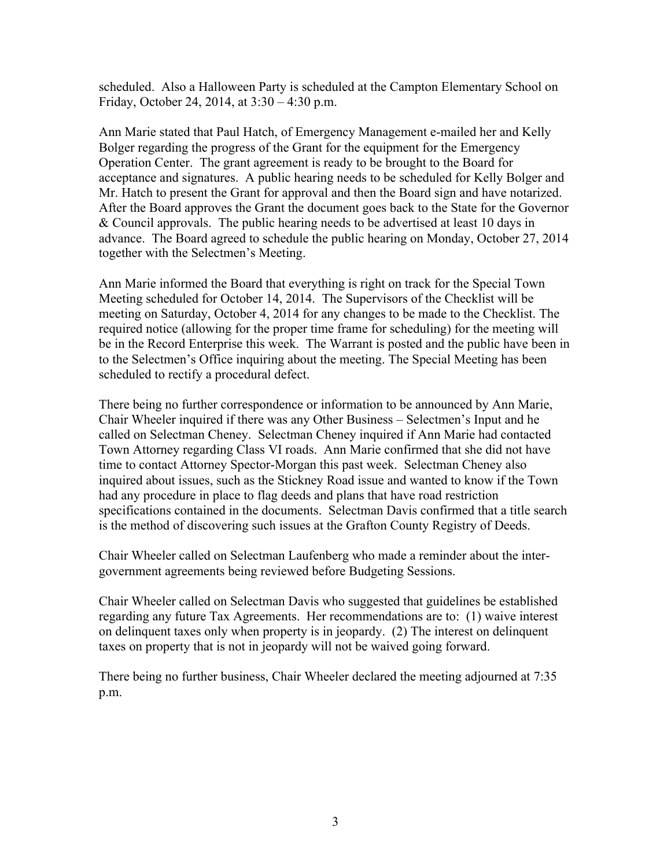scheduled. Also a Halloween Party is scheduled at the Campton Elementary School on Friday, October 24, 2014, at 3:30 – 4:30 p.m.

Ann Marie stated that Paul Hatch, of Emergency Management e-mailed her and Kelly Bolger regarding the progress of the Grant for the equipment for the Emergency Operation Center. The grant agreement is ready to be brought to the Board for acceptance and signatures. A public hearing needs to be scheduled for Kelly Bolger and Mr. Hatch to present the Grant for approval and then the Board sign and have notarized. After the Board approves the Grant the document goes back to the State for the Governor & Council approvals. The public hearing needs to be advertised at least 10 days in advance. The Board agreed to schedule the public hearing on Monday, October 27, 2014 together with the Selectmen's Meeting.

Ann Marie informed the Board that everything is right on track for the Special Town Meeting scheduled for October 14, 2014. The Supervisors of the Checklist will be meeting on Saturday, October 4, 2014 for any changes to be made to the Checklist. The required notice (allowing for the proper time frame for scheduling) for the meeting will be in the Record Enterprise this week. The Warrant is posted and the public have been in to the Selectmen's Office inquiring about the meeting. The Special Meeting has been scheduled to rectify a procedural defect.

There being no further correspondence or information to be announced by Ann Marie, Chair Wheeler inquired if there was any Other Business – Selectmen's Input and he called on Selectman Cheney. Selectman Cheney inquired if Ann Marie had contacted Town Attorney regarding Class VI roads. Ann Marie confirmed that she did not have time to contact Attorney Spector-Morgan this past week. Selectman Cheney also inquired about issues, such as the Stickney Road issue and wanted to know if the Town had any procedure in place to flag deeds and plans that have road restriction specifications contained in the documents. Selectman Davis confirmed that a title search is the method of discovering such issues at the Grafton County Registry of Deeds.

Chair Wheeler called on Selectman Laufenberg who made a reminder about the intergovernment agreements being reviewed before Budgeting Sessions.

Chair Wheeler called on Selectman Davis who suggested that guidelines be established regarding any future Tax Agreements. Her recommendations are to: (1) waive interest on delinquent taxes only when property is in jeopardy. (2) The interest on delinquent taxes on property that is not in jeopardy will not be waived going forward.

There being no further business, Chair Wheeler declared the meeting adjourned at 7:35 p.m.